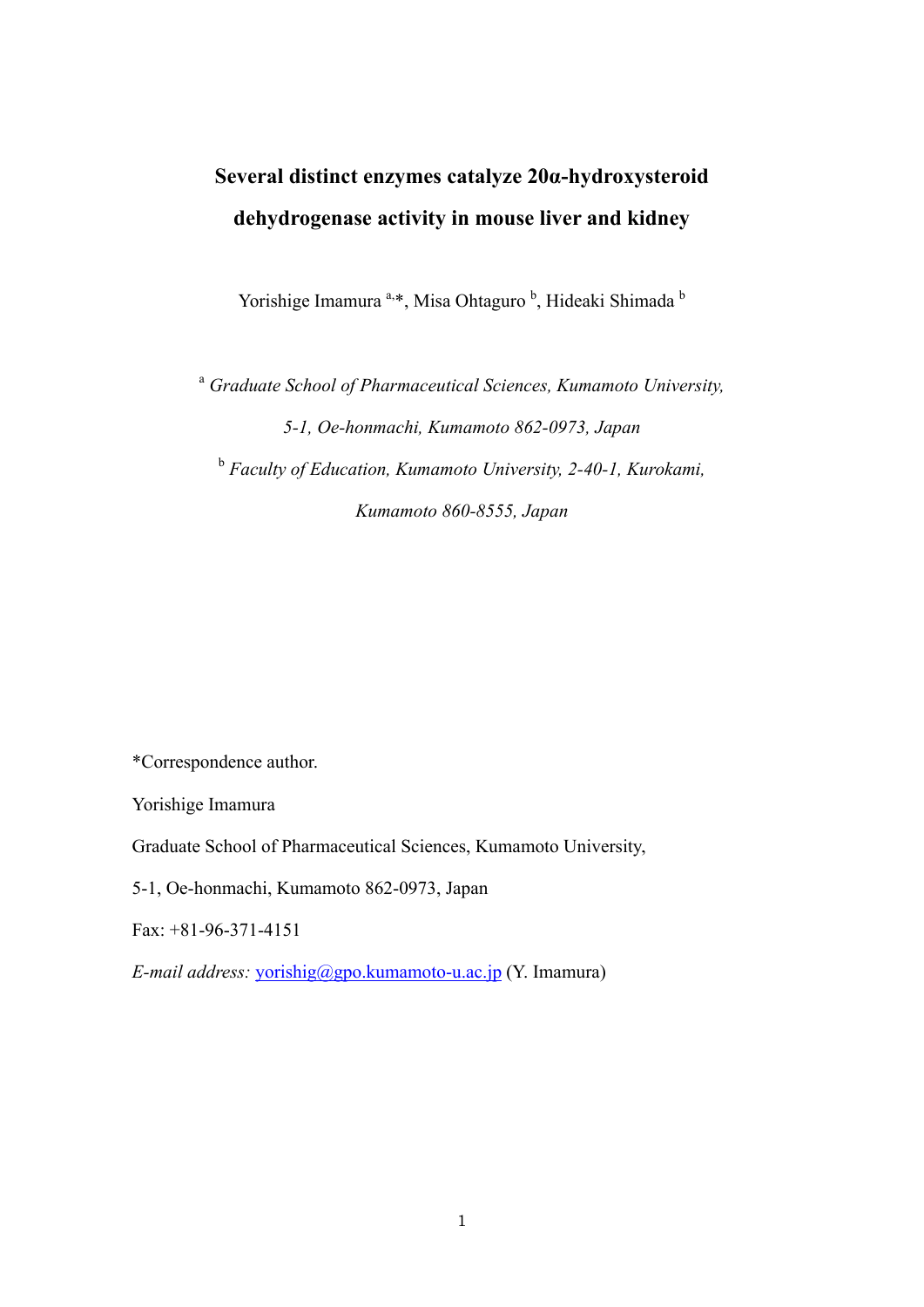# **Several distinct enzymes catalyze 20α-hydroxysteroid dehydrogenase activity in mouse liver and kidney**

Yorishige Imamura<sup>a,\*</sup>, Misa Ohtaguro<sup>b</sup>, Hideaki Shimada<sup>b</sup>

<sup>a</sup> *Graduate School of Pharmaceutical Sciences, Kumamoto University, 5-1, Oe-honmachi, Kumamoto 862-0973, Japan*  <sup>b</sup> *Faculty of Education, Kumamoto University, 2-40-1, Kurokami, Kumamoto 860-8555, Japan* 

\*Correspondence author.

Yorishige Imamura

Graduate School of Pharmaceutical Sciences, Kumamoto University,

5-1, Oe-honmachi, Kumamoto 862-0973, Japan

 $Fax + 81-96-371-4151$ 

*E-mail address:* yorishig@gpo.kumamoto-u.ac.jp (Y. Imamura)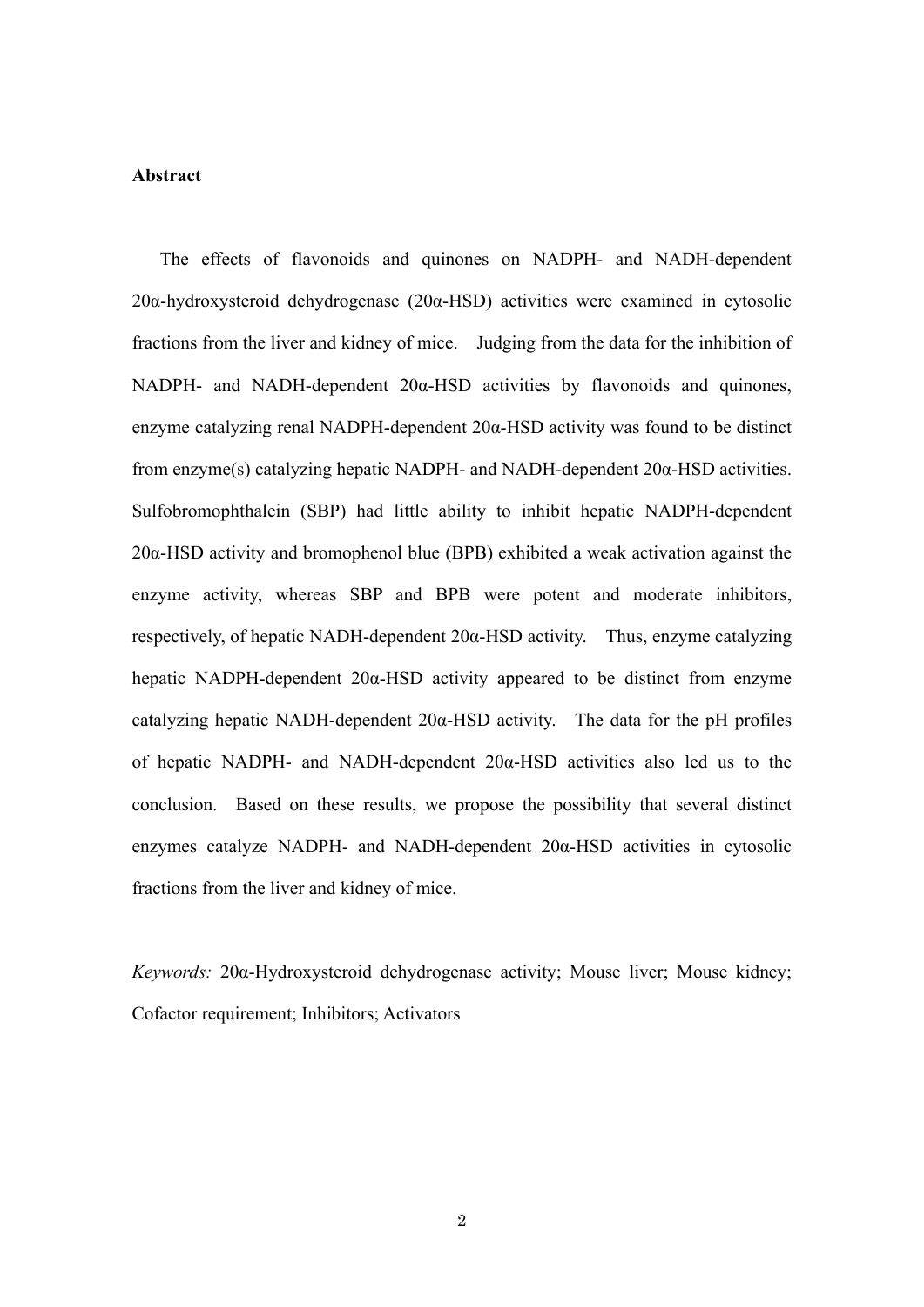## **Abstract**

 The effects of flavonoids and quinones on NADPH- and NADH-dependent 20α-hydroxysteroid dehydrogenase (20α-HSD) activities were examined in cytosolic fractions from the liver and kidney of mice. Judging from the data for the inhibition of NADPH- and NADH-dependent  $20α$ -HSD activities by flavonoids and quinones, enzyme catalyzing renal NADPH-dependent 20α-HSD activity was found to be distinct from enzyme(s) catalyzing hepatic NADPH- and NADH-dependent 20α-HSD activities. Sulfobromophthalein (SBP) had little ability to inhibit hepatic NADPH-dependent 20α-HSD activity and bromophenol blue (BPB) exhibited a weak activation against the enzyme activity, whereas SBP and BPB were potent and moderate inhibitors, respectively, of hepatic NADH-dependent 20α-HSD activity. Thus, enzyme catalyzing hepatic NADPH-dependent 20α-HSD activity appeared to be distinct from enzyme catalyzing hepatic NADH-dependent  $20\alpha$ -HSD activity. The data for the pH profiles of hepatic NADPH- and NADH-dependent 20α-HSD activities also led us to the conclusion. Based on these results, we propose the possibility that several distinct enzymes catalyze NADPH- and NADH-dependent 20α-HSD activities in cytosolic fractions from the liver and kidney of mice.

*Keywords:* 20α-Hydroxysteroid dehydrogenase activity; Mouse liver; Mouse kidney; Cofactor requirement; Inhibitors; Activators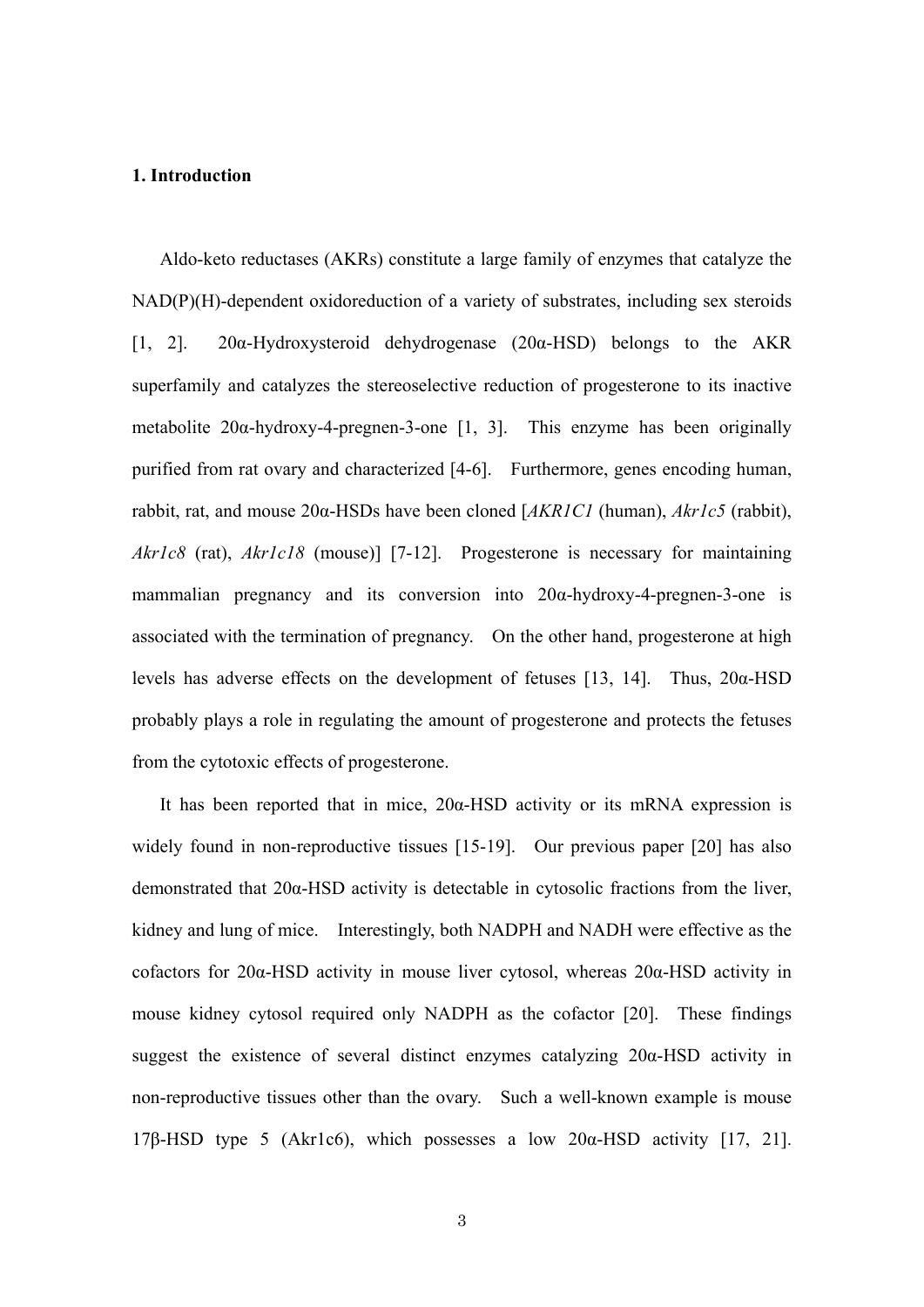## **1. Introduction**

Aldo-keto reductases (AKRs) constitute a large family of enzymes that catalyze the NAD(P)(H)-dependent oxidoreduction of a variety of substrates, including sex steroids [1, 2]. 20α-Hydroxysteroid dehydrogenase (20α-HSD) belongs to the AKR superfamily and catalyzes the stereoselective reduction of progesterone to its inactive metabolite 20α-hydroxy-4-pregnen-3-one [1, 3]. This enzyme has been originally purified from rat ovary and characterized [4-6]. Furthermore, genes encoding human, rabbit, rat, and mouse 20α-HSDs have been cloned [*AKR1C1* (human), *Akr1c5* (rabbit), *Akr1c8* (rat), *Akr1c18* (mouse)] [7-12]. Progesterone is necessary for maintaining mammalian pregnancy and its conversion into 20α-hydroxy-4-pregnen-3-one is associated with the termination of pregnancy. On the other hand, progesterone at high levels has adverse effects on the development of fetuses [13, 14]. Thus, 20α-HSD probably plays a role in regulating the amount of progesterone and protects the fetuses from the cytotoxic effects of progesterone.

 It has been reported that in mice, 20α-HSD activity or its mRNA expression is widely found in non-reproductive tissues [15-19]. Our previous paper [20] has also demonstrated that 20α-HSD activity is detectable in cytosolic fractions from the liver, kidney and lung of mice. Interestingly, both NADPH and NADH were effective as the cofactors for 20α-HSD activity in mouse liver cytosol, whereas 20α-HSD activity in mouse kidney cytosol required only NADPH as the cofactor [20]. These findings suggest the existence of several distinct enzymes catalyzing 20α-HSD activity in non-reproductive tissues other than the ovary. Such a well-known example is mouse 17β-HSD type 5 (Akr1c6), which possesses a low  $20\alpha$ -HSD activity [17, 21].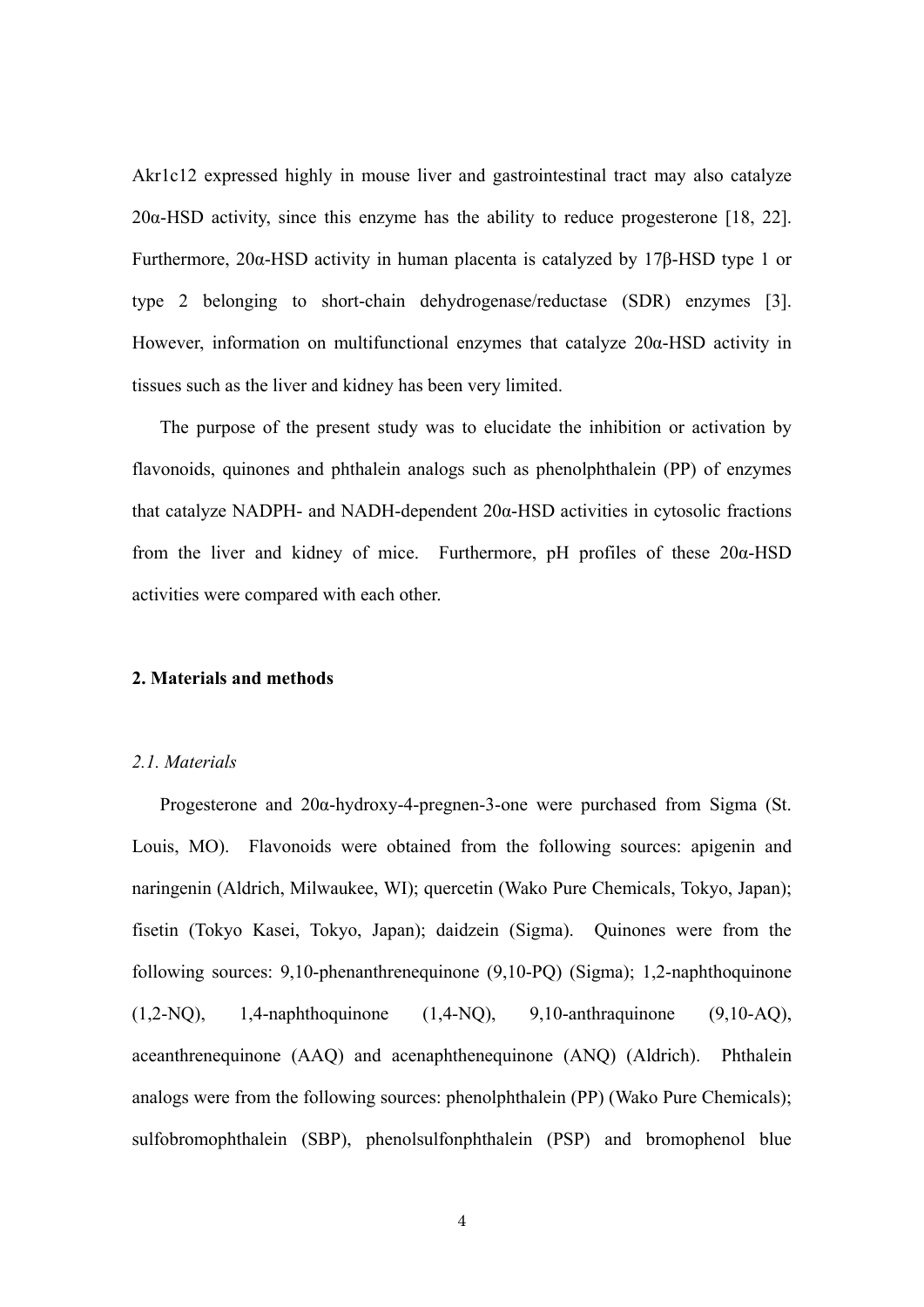Akr1c12 expressed highly in mouse liver and gastrointestinal tract may also catalyze 20α-HSD activity, since this enzyme has the ability to reduce progesterone [18, 22]. Furthermore, 20α-HSD activity in human placenta is catalyzed by 17β-HSD type 1 or type 2 belonging to short-chain dehydrogenase/reductase (SDR) enzymes [3]. However, information on multifunctional enzymes that catalyze 20α-HSD activity in tissues such as the liver and kidney has been very limited.

 The purpose of the present study was to elucidate the inhibition or activation by flavonoids, quinones and phthalein analogs such as phenolphthalein (PP) of enzymes that catalyze NADPH- and NADH-dependent 20α-HSD activities in cytosolic fractions from the liver and kidney of mice. Furthermore, pH profiles of these 20α-HSD activities were compared with each other.

#### **2. Materials and methods**

## *2.1. Materials*

Progesterone and 20α-hydroxy-4-pregnen-3-one were purchased from Sigma (St. Louis, MO). Flavonoids were obtained from the following sources: apigenin and naringenin (Aldrich, Milwaukee, WI); quercetin (Wako Pure Chemicals, Tokyo, Japan); fisetin (Tokyo Kasei, Tokyo, Japan); daidzein (Sigma). Quinones were from the following sources: 9,10-phenanthrenequinone (9,10-PQ) (Sigma); 1,2-naphthoquinone (1,2-NQ), 1,4-naphthoquinone (1,4-NQ), 9,10-anthraquinone (9,10-AQ), aceanthrenequinone (AAQ) and acenaphthenequinone (ANQ) (Aldrich). Phthalein analogs were from the following sources: phenolphthalein (PP) (Wako Pure Chemicals); sulfobromophthalein (SBP), phenolsulfonphthalein (PSP) and bromophenol blue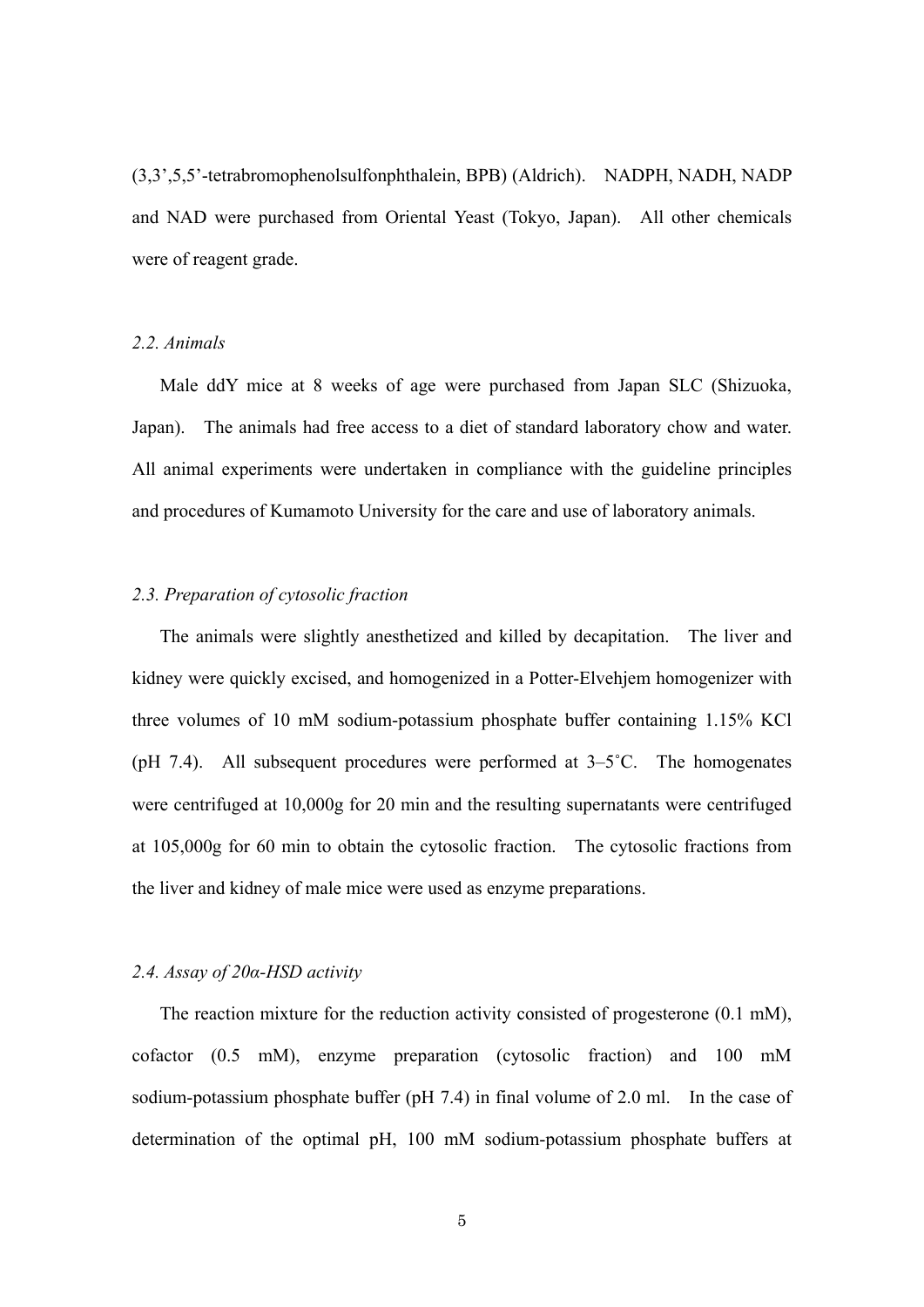(3,3',5,5'-tetrabromophenolsulfonphthalein, BPB) (Aldrich). NADPH, NADH, NADP and NAD were purchased from Oriental Yeast (Tokyo, Japan). All other chemicals were of reagent grade.

#### *2.2. Animals*

Male ddY mice at 8 weeks of age were purchased from Japan SLC (Shizuoka, Japan). The animals had free access to a diet of standard laboratory chow and water. All animal experiments were undertaken in compliance with the guideline principles and procedures of Kumamoto University for the care and use of laboratory animals.

## *2.3. Preparation of cytosolic fraction*

The animals were slightly anesthetized and killed by decapitation. The liver and kidney were quickly excised, and homogenized in a Potter-Elvehjem homogenizer with three volumes of 10 mM sodium-potassium phosphate buffer containing 1.15% KCl (pH 7.4). All subsequent procedures were performed at  $3-5^{\circ}$ C. The homogenates were centrifuged at 10,000g for 20 min and the resulting supernatants were centrifuged at 105,000g for 60 min to obtain the cytosolic fraction. The cytosolic fractions from the liver and kidney of male mice were used as enzyme preparations.

## *2.4. Assay of 20α-HSD activity*

The reaction mixture for the reduction activity consisted of progesterone (0.1 mM), cofactor (0.5 mM), enzyme preparation (cytosolic fraction) and 100 mM sodium-potassium phosphate buffer (pH 7.4) in final volume of 2.0 ml. In the case of determination of the optimal pH, 100 mM sodium-potassium phosphate buffers at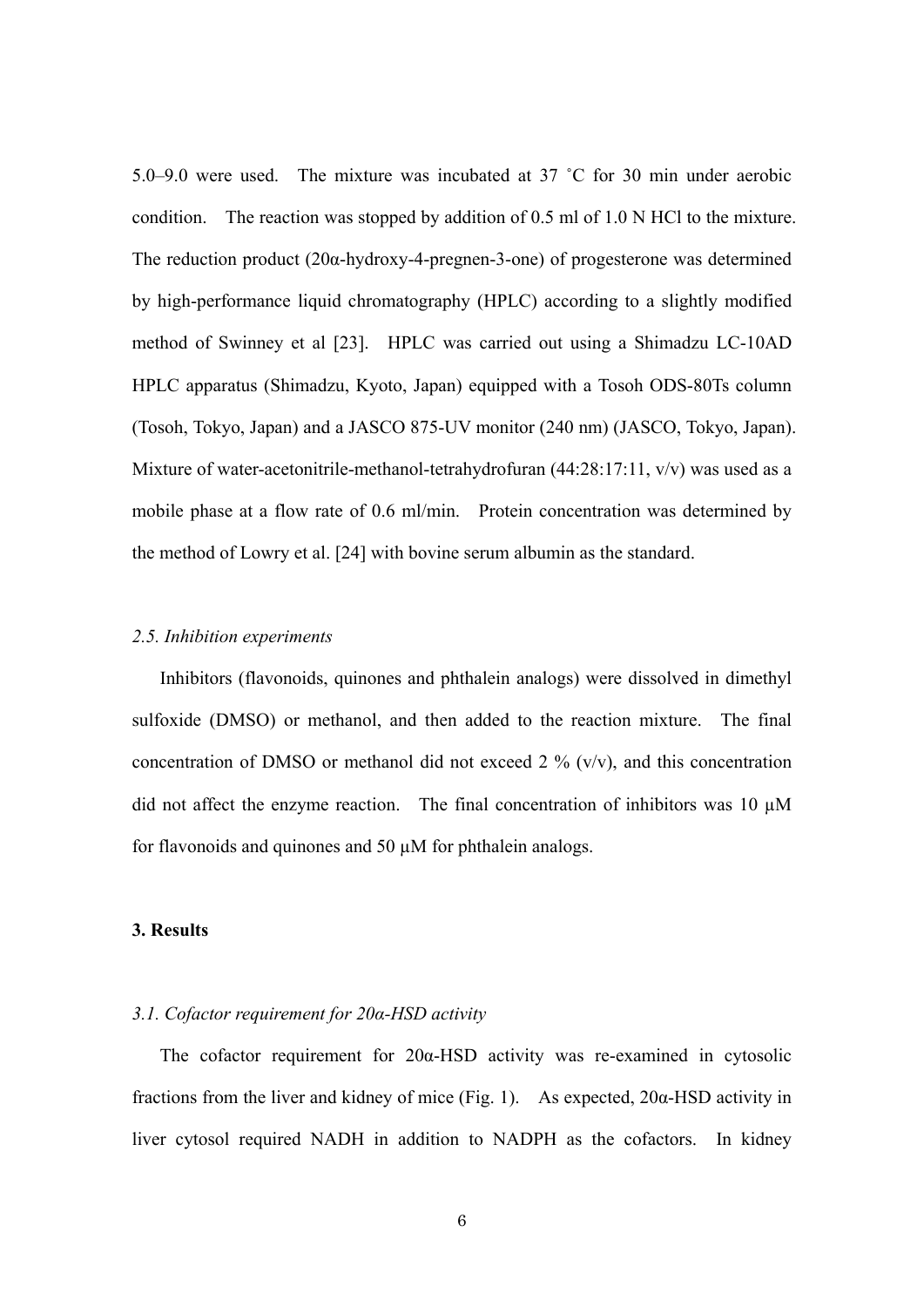5.0–9.0 were used. The mixture was incubated at 37 ˚C for 30 min under aerobic condition. The reaction was stopped by addition of 0.5 ml of 1.0 N HCl to the mixture. The reduction product (20α-hydroxy-4-pregnen-3-one) of progesterone was determined by high-performance liquid chromatography (HPLC) according to a slightly modified method of Swinney et al [23]. HPLC was carried out using a Shimadzu LC-10AD HPLC apparatus (Shimadzu, Kyoto, Japan) equipped with a Tosoh ODS-80Ts column (Tosoh, Tokyo, Japan) and a JASCO 875-UV monitor (240 nm) (JASCO, Tokyo, Japan). Mixture of water-acetonitrile-methanol-tetrahydrofuran (44:28:17:11, v/v) was used as a mobile phase at a flow rate of 0.6 ml/min. Protein concentration was determined by the method of Lowry et al. [24] with bovine serum albumin as the standard.

## *2.5. Inhibition experiments*

Inhibitors (flavonoids, quinones and phthalein analogs) were dissolved in dimethyl sulfoxide (DMSO) or methanol, and then added to the reaction mixture. The final concentration of DMSO or methanol did not exceed 2 %  $(v/v)$ , and this concentration did not affect the enzyme reaction. The final concentration of inhibitors was 10  $\mu$ M for flavonoids and quinones and 50 µM for phthalein analogs.

#### **3. Results**

## *3.1. Cofactor requirement for 20α-HSD activity*

 The cofactor requirement for 20α-HSD activity was re-examined in cytosolic fractions from the liver and kidney of mice (Fig. 1). As expected, 20α-HSD activity in liver cytosol required NADH in addition to NADPH as the cofactors. In kidney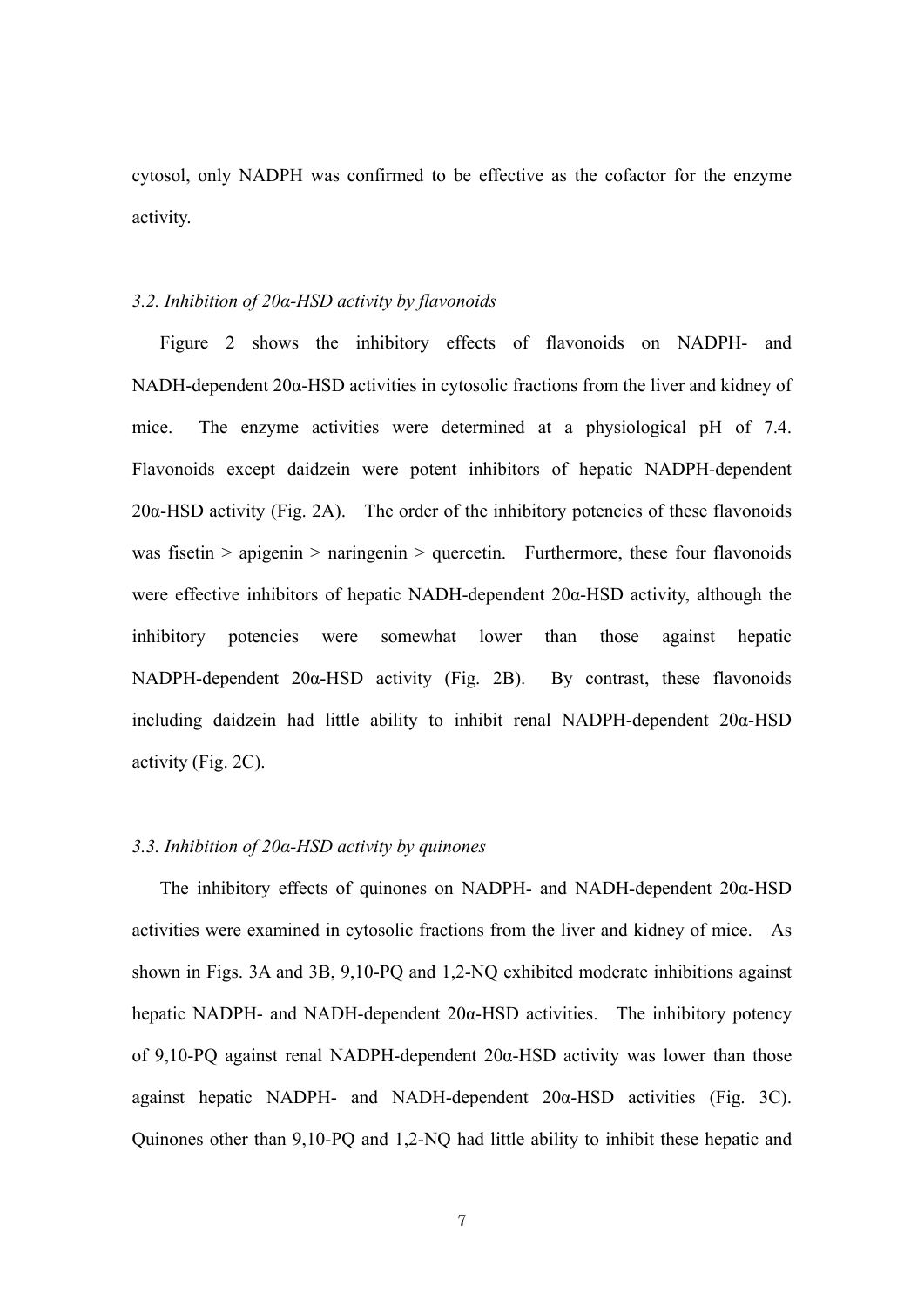cytosol, only NADPH was confirmed to be effective as the cofactor for the enzyme activity.

#### *3.2. Inhibition of 20α-HSD activity by flavonoids*

 Figure 2 shows the inhibitory effects of flavonoids on NADPH- and NADH-dependent 20α-HSD activities in cytosolic fractions from the liver and kidney of mice. The enzyme activities were determined at a physiological pH of 7.4. Flavonoids except daidzein were potent inhibitors of hepatic NADPH-dependent 20α-HSD activity (Fig. 2A). The order of the inhibitory potencies of these flavonoids was fisetin  $>$  apigenin  $>$  naringenin  $>$  quercetin. Furthermore, these four flavonoids were effective inhibitors of hepatic NADH-dependent 20α-HSD activity, although the inhibitory potencies were somewhat lower than those against hepatic NADPH-dependent 20α-HSD activity (Fig. 2B). By contrast, these flavonoids including daidzein had little ability to inhibit renal NADPH-dependent 20α-HSD activity (Fig. 2C).

#### *3.3. Inhibition of 20α-HSD activity by quinones*

 The inhibitory effects of quinones on NADPH- and NADH-dependent 20α-HSD activities were examined in cytosolic fractions from the liver and kidney of mice. As shown in Figs. 3A and 3B, 9,10-PQ and 1,2-NQ exhibited moderate inhibitions against hepatic NADPH- and NADH-dependent  $20\alpha$ -HSD activities. The inhibitory potency of 9,10-PQ against renal NADPH-dependent 20α-HSD activity was lower than those against hepatic NADPH- and NADH-dependent  $20\alpha$ -HSD activities (Fig. 3C). Quinones other than 9,10-PQ and 1,2-NQ had little ability to inhibit these hepatic and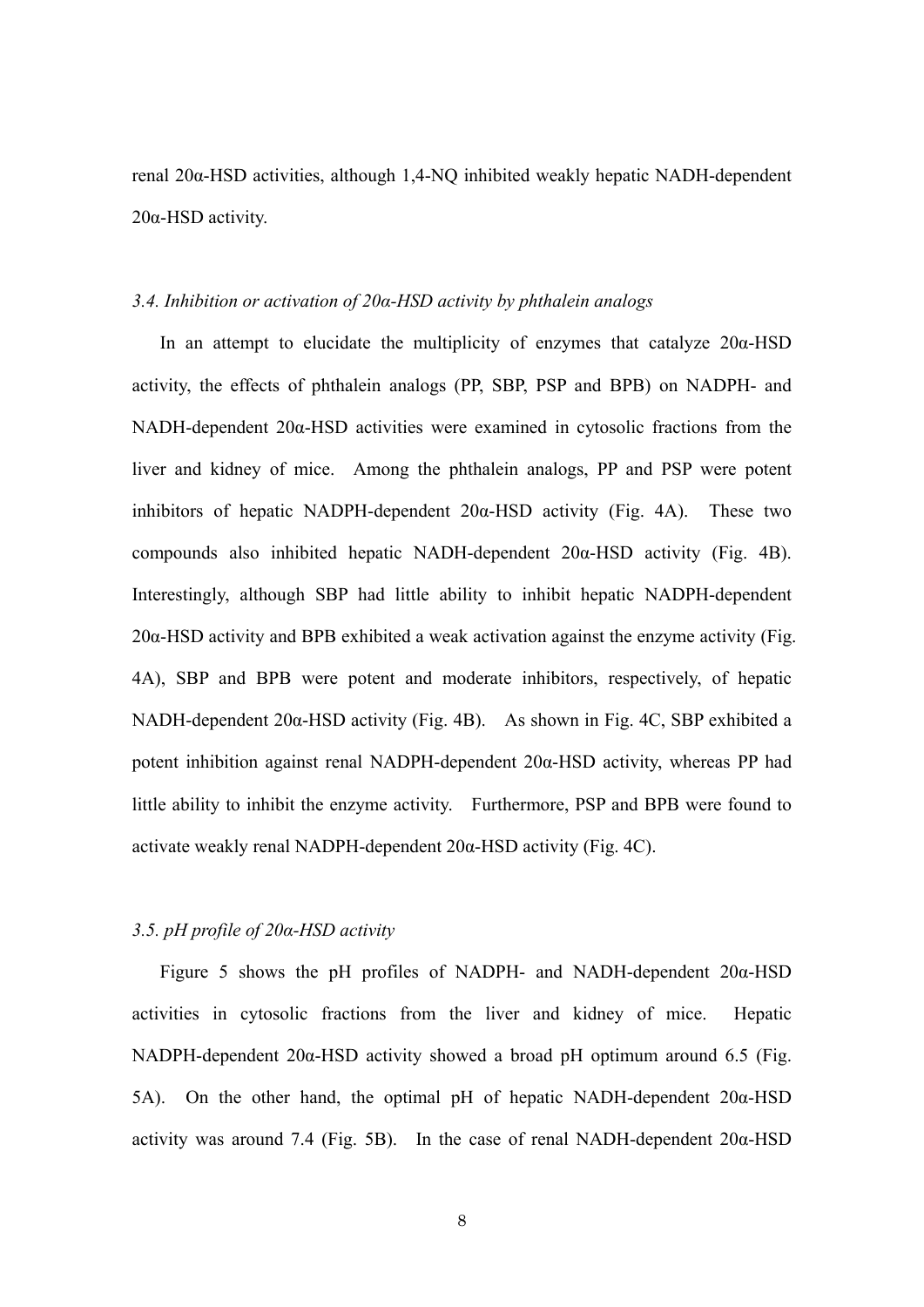renal 20α-HSD activities, although 1,4-NQ inhibited weakly hepatic NADH-dependent 20α-HSD activity.

## *3.4. Inhibition or activation of 20α-HSD activity by phthalein analogs*

In an attempt to elucidate the multiplicity of enzymes that catalyze  $20\alpha$ -HSD activity, the effects of phthalein analogs (PP, SBP, PSP and BPB) on NADPH- and NADH-dependent 20α-HSD activities were examined in cytosolic fractions from the liver and kidney of mice. Among the phthalein analogs, PP and PSP were potent inhibitors of hepatic NADPH-dependent  $20\alpha$ -HSD activity (Fig. 4A). These two compounds also inhibited hepatic NADH-dependent 20α-HSD activity (Fig. 4B). Interestingly, although SBP had little ability to inhibit hepatic NADPH-dependent  $20\alpha$ -HSD activity and BPB exhibited a weak activation against the enzyme activity (Fig. 4A), SBP and BPB were potent and moderate inhibitors, respectively, of hepatic NADH-dependent 20α-HSD activity (Fig. 4B). As shown in Fig. 4C, SBP exhibited a potent inhibition against renal NADPH-dependent  $20\alpha$ -HSD activity, whereas PP had little ability to inhibit the enzyme activity. Furthermore, PSP and BPB were found to activate weakly renal NADPH-dependent 20α-HSD activity (Fig. 4C).

## *3.5. pH profile of 20α-HSD activity*

 Figure 5 shows the pH profiles of NADPH- and NADH-dependent 20α-HSD activities in cytosolic fractions from the liver and kidney of mice. Hepatic NADPH-dependent  $20\alpha$ -HSD activity showed a broad pH optimum around 6.5 (Fig. 5A). On the other hand, the optimal pH of hepatic NADH-dependent  $20\alpha$ -HSD activity was around 7.4 (Fig. 5B). In the case of renal NADH-dependent  $20\alpha$ -HSD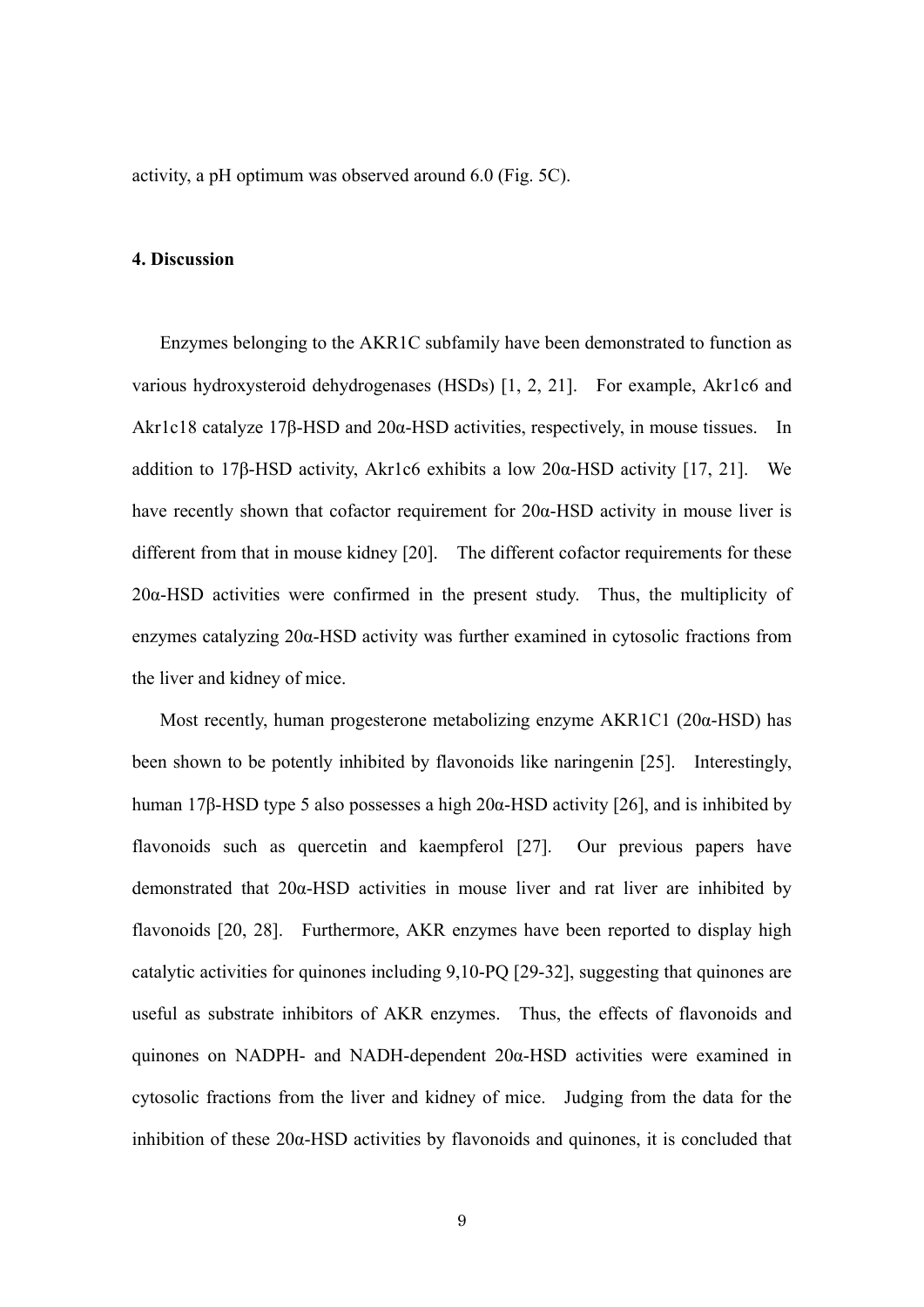activity, a pH optimum was observed around 6.0 (Fig. 5C).

#### **4. Discussion**

 Enzymes belonging to the AKR1C subfamily have been demonstrated to function as various hydroxysteroid dehydrogenases (HSDs) [1, 2, 21]. For example, Akr1c6 and Akr1c18 catalyze 17β-HSD and 20α-HSD activities, respectively, in mouse tissues. In addition to 17β-HSD activity, Akr1c6 exhibits a low  $20\alpha$ -HSD activity [17, 21]. We have recently shown that cofactor requirement for  $20\alpha$ -HSD activity in mouse liver is different from that in mouse kidney [20]. The different cofactor requirements for these 20α-HSD activities were confirmed in the present study. Thus, the multiplicity of enzymes catalyzing 20α-HSD activity was further examined in cytosolic fractions from the liver and kidney of mice.

 Most recently, human progesterone metabolizing enzyme AKR1C1 (20α-HSD) has been shown to be potently inhibited by flavonoids like naringenin [25]. Interestingly, human 17β-HSD type 5 also possesses a high  $20\alpha$ -HSD activity [26], and is inhibited by flavonoids such as quercetin and kaempferol [27]. Our previous papers have demonstrated that 20α-HSD activities in mouse liver and rat liver are inhibited by flavonoids [20, 28]. Furthermore, AKR enzymes have been reported to display high catalytic activities for quinones including 9,10-PQ [29-32], suggesting that quinones are useful as substrate inhibitors of AKR enzymes. Thus, the effects of flavonoids and quinones on NADPH- and NADH-dependent 20α-HSD activities were examined in cytosolic fractions from the liver and kidney of mice. Judging from the data for the inhibition of these 20α-HSD activities by flavonoids and quinones, it is concluded that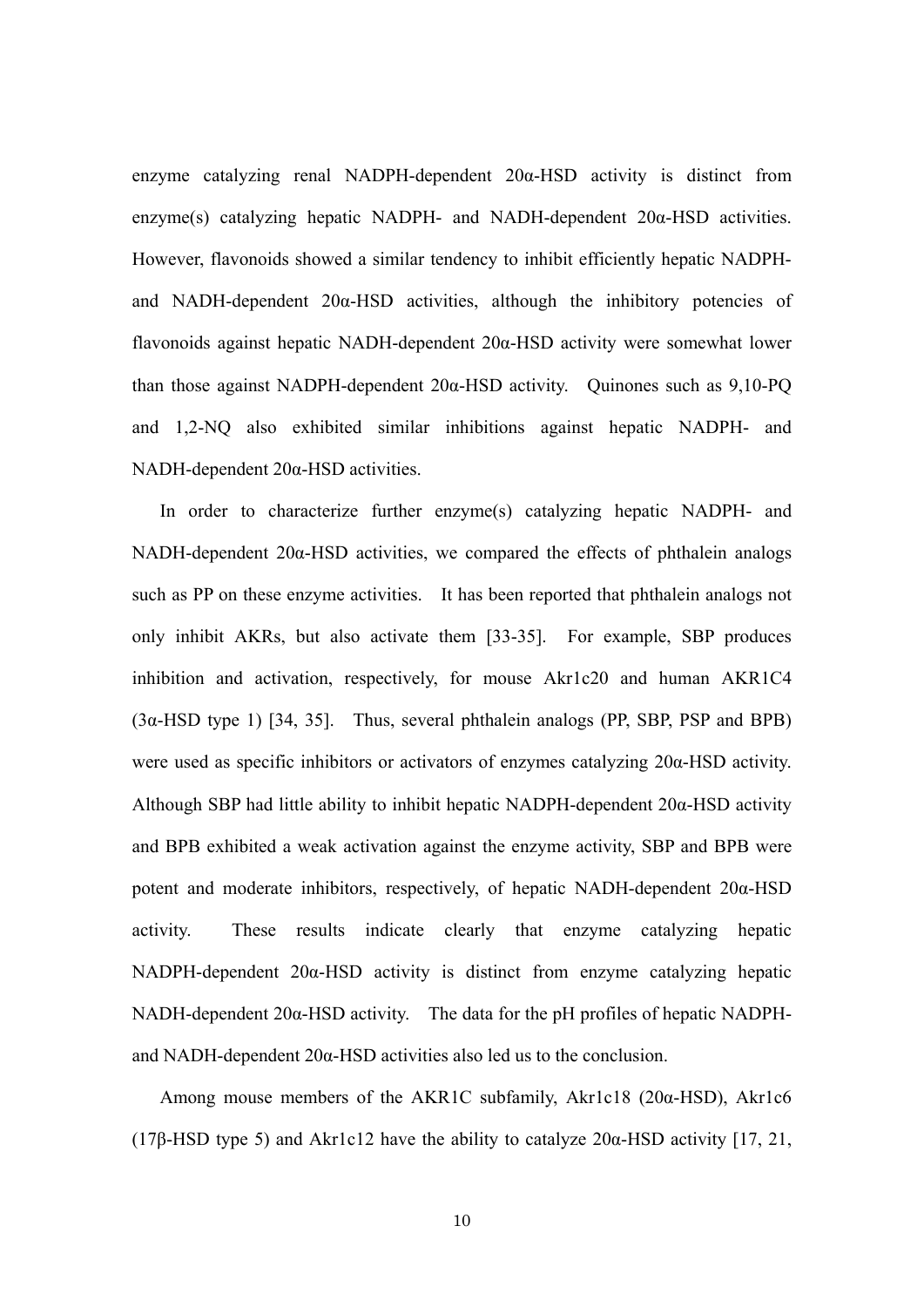enzyme catalyzing renal NADPH-dependent 20α-HSD activity is distinct from enzyme(s) catalyzing hepatic NADPH- and NADH-dependent 20α-HSD activities. However, flavonoids showed a similar tendency to inhibit efficiently hepatic NADPHand NADH-dependent  $20\alpha$ -HSD activities, although the inhibitory potencies of flavonoids against hepatic NADH-dependent 20α-HSD activity were somewhat lower than those against NADPH-dependent 20α-HSD activity. Quinones such as 9,10-PQ and 1,2-NQ also exhibited similar inhibitions against hepatic NADPH- and NADH-dependent 20α-HSD activities.

 In order to characterize further enzyme(s) catalyzing hepatic NADPH- and NADH-dependent 20α-HSD activities, we compared the effects of phthalein analogs such as PP on these enzyme activities. It has been reported that phthalein analogs not only inhibit AKRs, but also activate them [33-35]. For example, SBP produces inhibition and activation, respectively, for mouse Akr1c20 and human AKR1C4 (3α-HSD type 1) [34, 35]. Thus, several phthalein analogs (PP, SBP, PSP and BPB) were used as specific inhibitors or activators of enzymes catalyzing 20α-HSD activity. Although SBP had little ability to inhibit hepatic NADPH-dependent 20α-HSD activity and BPB exhibited a weak activation against the enzyme activity, SBP and BPB were potent and moderate inhibitors, respectively, of hepatic NADH-dependent 20α-HSD activity. These results indicate clearly that enzyme catalyzing hepatic NADPH-dependent 20α-HSD activity is distinct from enzyme catalyzing hepatic NADH-dependent 20α-HSD activity. The data for the pH profiles of hepatic NADPHand NADH-dependent 20α-HSD activities also led us to the conclusion.

 Among mouse members of the AKR1C subfamily, Akr1c18 (20α-HSD), Akr1c6 (17β-HSD type 5) and Akr1c12 have the ability to catalyze 20α-HSD activity [17, 21,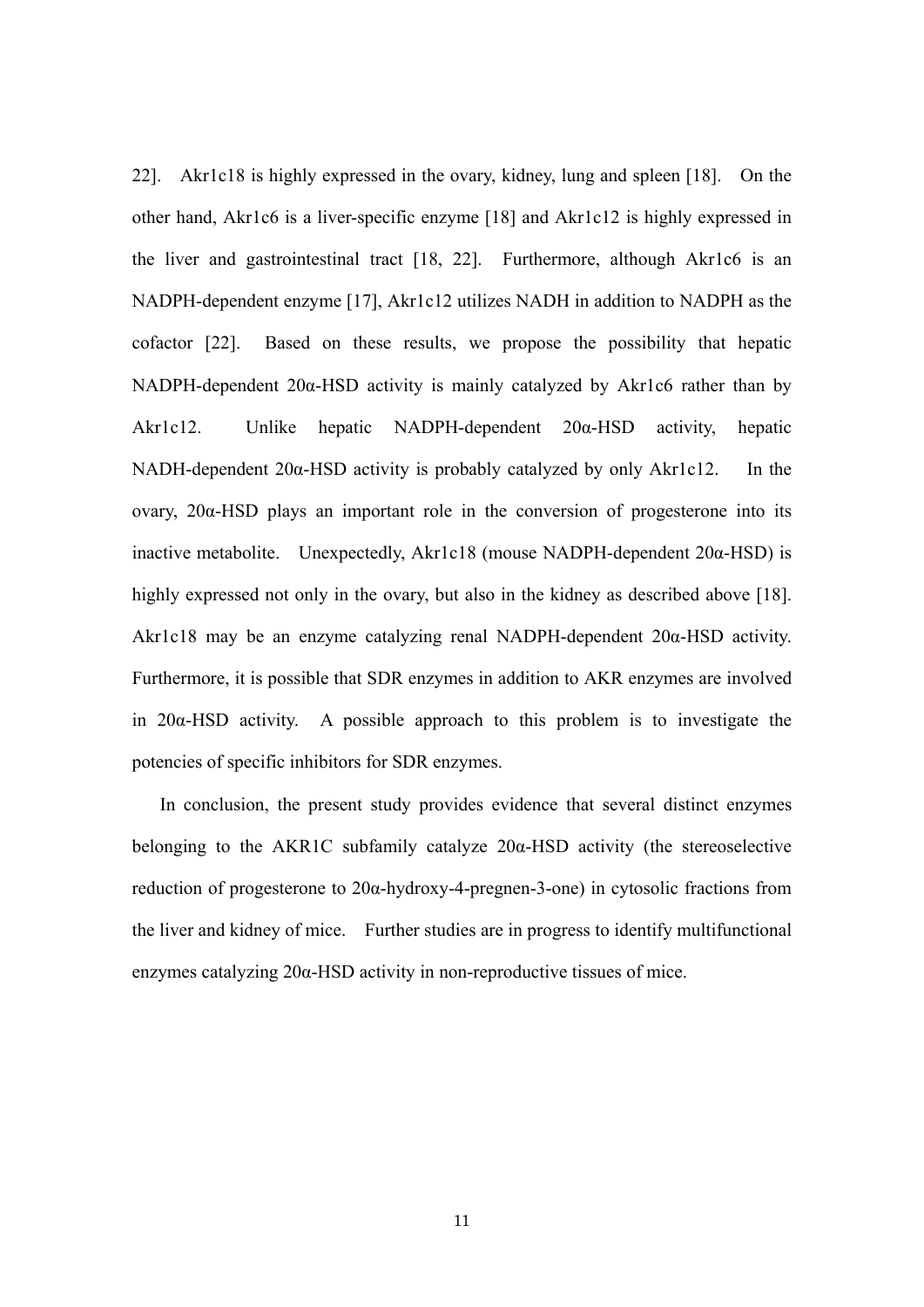22]. Akr1c18 is highly expressed in the ovary, kidney, lung and spleen [18]. On the other hand, Akr1c6 is a liver-specific enzyme [18] and Akr1c12 is highly expressed in the liver and gastrointestinal tract [18, 22]. Furthermore, although Akr1c6 is an NADPH-dependent enzyme [17], Akr1c12 utilizes NADH in addition to NADPH as the cofactor [22]. Based on these results, we propose the possibility that hepatic NADPH-dependent 20α-HSD activity is mainly catalyzed by Akr1c6 rather than by Akr1c12. Unlike hepatic NADPH-dependent 20α-HSD activity, hepatic NADH-dependent 20α-HSD activity is probably catalyzed by only Akr1c12. In the ovary, 20α-HSD plays an important role in the conversion of progesterone into its inactive metabolite. Unexpectedly, Akr1c18 (mouse NADPH-dependent 20α-HSD) is highly expressed not only in the ovary, but also in the kidney as described above [18]. Akr1c18 may be an enzyme catalyzing renal NADPH-dependent 20α-HSD activity. Furthermore, it is possible that SDR enzymes in addition to AKR enzymes are involved in 20α-HSD activity. A possible approach to this problem is to investigate the potencies of specific inhibitors for SDR enzymes.

 In conclusion, the present study provides evidence that several distinct enzymes belonging to the AKR1C subfamily catalyze 20α-HSD activity (the stereoselective reduction of progesterone to 20α-hydroxy-4-pregnen-3-one) in cytosolic fractions from the liver and kidney of mice. Further studies are in progress to identify multifunctional enzymes catalyzing 20α-HSD activity in non-reproductive tissues of mice.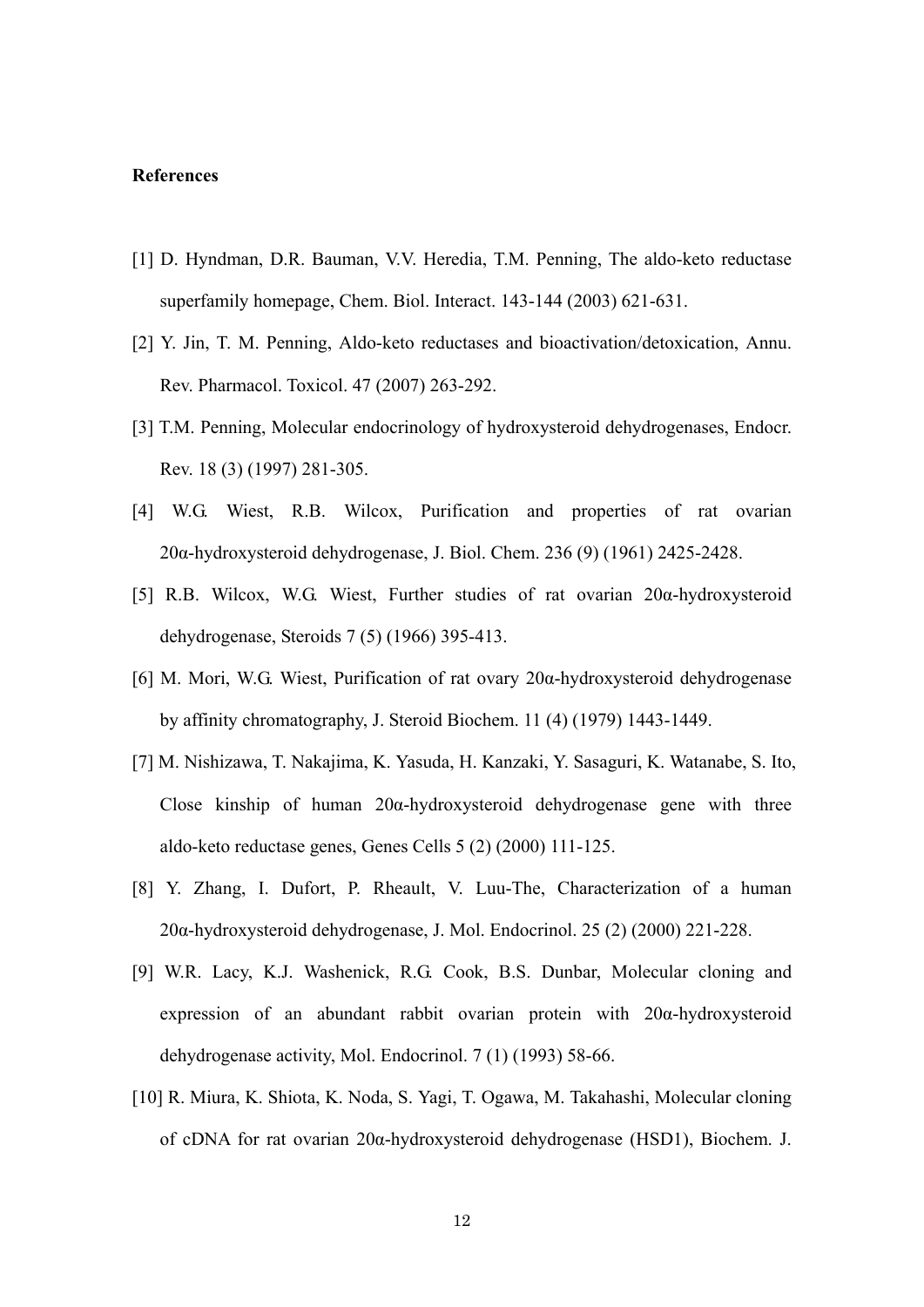## **References**

- [1] D. Hyndman, D.R. Bauman, V.V. Heredia, T.M. Penning, The aldo-keto reductase superfamily homepage, Chem. Biol. Interact. 143-144 (2003) 621-631.
- [2] Y. Jin, T. M. Penning, Aldo-keto reductases and bioactivation/detoxication, Annu. Rev. Pharmacol. Toxicol. 47 (2007) 263-292.
- [3] T.M. Penning, Molecular endocrinology of hydroxysteroid dehydrogenases, Endocr. Rev. 18 (3) (1997) 281-305.
- [4] W.G. Wiest, R.B. Wilcox, Purification and properties of rat ovarian 20α-hydroxysteroid dehydrogenase, J. Biol. Chem. 236 (9) (1961) 2425-2428.
- [5] R.B. Wilcox, W.G. Wiest, Further studies of rat ovarian 20α-hydroxysteroid dehydrogenase, Steroids 7 (5) (1966) 395-413.
- [6] M. Mori, W.G. Wiest, Purification of rat ovary 20α-hydroxysteroid dehydrogenase by affinity chromatography, J. Steroid Biochem. 11 (4) (1979) 1443-1449.
- [7] M. Nishizawa, T. Nakajima, K. Yasuda, H. Kanzaki, Y. Sasaguri, K. Watanabe, S. Ito, Close kinship of human  $20\alpha$ -hydroxysteroid dehydrogenase gene with three aldo-keto reductase genes, Genes Cells 5 (2) (2000) 111-125.
- [8] Y. Zhang, I. Dufort, P. Rheault, V. Luu-The, Characterization of a human 20α-hydroxysteroid dehydrogenase, J. Mol. Endocrinol. 25 (2) (2000) 221-228.
- [9] W.R. Lacy, K.J. Washenick, R.G. Cook, B.S. Dunbar, Molecular cloning and expression of an abundant rabbit ovarian protein with 20α-hydroxysteroid dehydrogenase activity, Mol. Endocrinol. 7 (1) (1993) 58-66.
- [10] R. Miura, K. Shiota, K. Noda, S. Yagi, T. Ogawa, M. Takahashi, Molecular cloning of cDNA for rat ovarian 20α-hydroxysteroid dehydrogenase (HSD1), Biochem. J.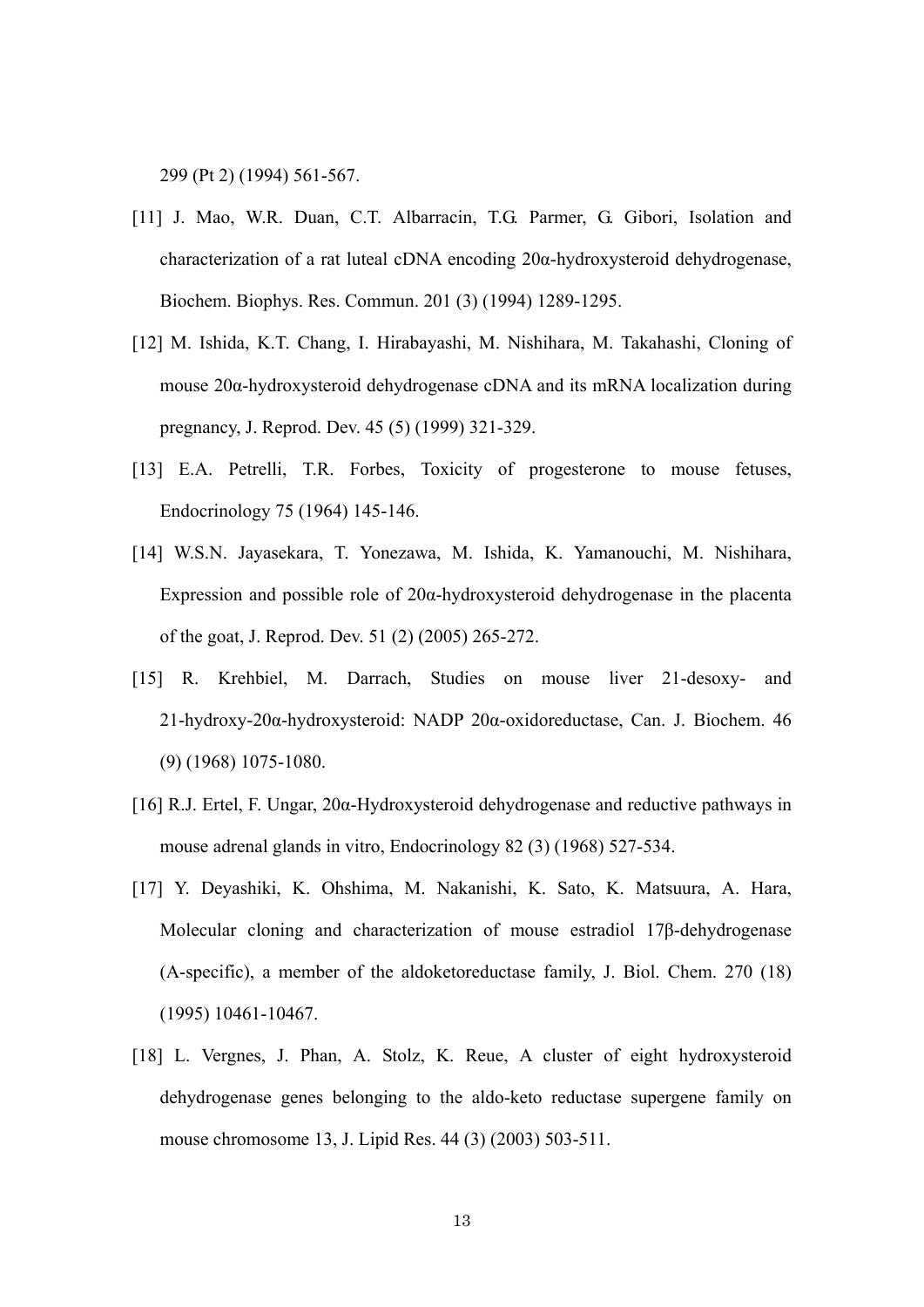299 (Pt 2) (1994) 561-567.

- [11] J. Mao, W.R. Duan, C.T. Albarracin, T.G. Parmer, G. Gibori, Isolation and characterization of a rat luteal cDNA encoding 20α-hydroxysteroid dehydrogenase, Biochem. Biophys. Res. Commun. 201 (3) (1994) 1289-1295.
- [12] M. Ishida, K.T. Chang, I. Hirabayashi, M. Nishihara, M. Takahashi, Cloning of mouse 20α-hydroxysteroid dehydrogenase cDNA and its mRNA localization during pregnancy, J. Reprod. Dev. 45 (5) (1999) 321-329.
- [13] E.A. Petrelli, T.R. Forbes, Toxicity of progesterone to mouse fetuses, Endocrinology 75 (1964) 145-146.
- [14] W.S.N. Jayasekara, T. Yonezawa, M. Ishida, K. Yamanouchi, M. Nishihara, Expression and possible role of  $20\alpha$ -hydroxysteroid dehydrogenase in the placenta of the goat, J. Reprod. Dev. 51 (2) (2005) 265-272.
- [15] R. Krehbiel, M. Darrach, Studies on mouse liver 21-desoxy- and 21-hydroxy-20α-hydroxysteroid: NADP 20α-oxidoreductase, Can. J. Biochem. 46 (9) (1968) 1075-1080.
- [16] R.J. Ertel, F. Ungar, 20α-Hydroxysteroid dehydrogenase and reductive pathways in mouse adrenal glands in vitro, Endocrinology 82 (3) (1968) 527-534.
- [17] Y. Deyashiki, K. Ohshima, M. Nakanishi, K. Sato, K. Matsuura, A. Hara, Molecular cloning and characterization of mouse estradiol 17β-dehydrogenase (A-specific), a member of the aldoketoreductase family, J. Biol. Chem. 270 (18) (1995) 10461-10467.
- [18] L. Vergnes, J. Phan, A. Stolz, K. Reue, A cluster of eight hydroxysteroid dehydrogenase genes belonging to the aldo-keto reductase supergene family on mouse chromosome 13, J. Lipid Res. 44 (3) (2003) 503-511.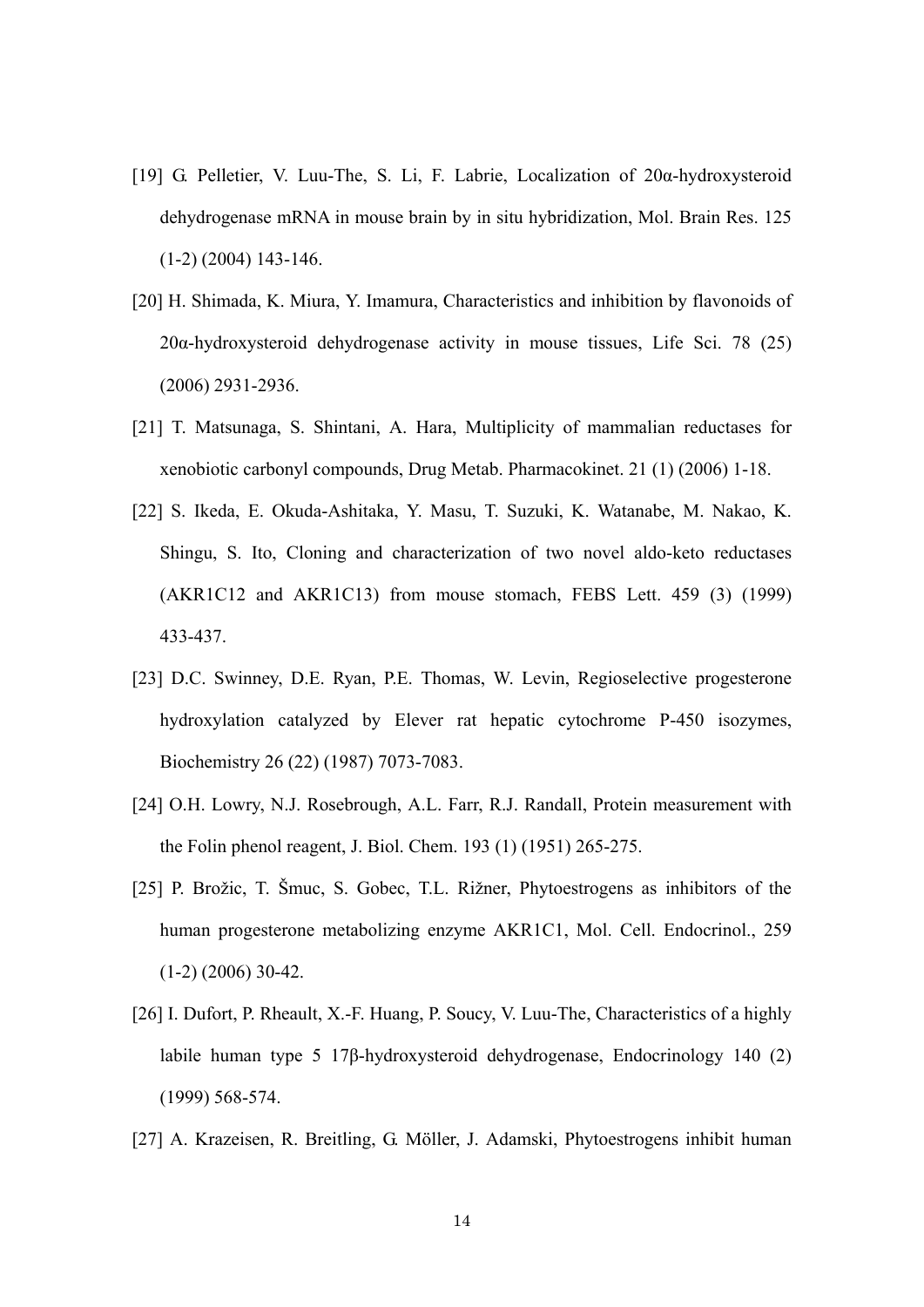- [19] G. Pelletier, V. Luu-The, S. Li, F. Labrie, Localization of 20α-hydroxysteroid dehydrogenase mRNA in mouse brain by in situ hybridization, Mol. Brain Res. 125 (1-2) (2004) 143-146.
- [20] H. Shimada, K. Miura, Y. Imamura, Characteristics and inhibition by flavonoids of 20α-hydroxysteroid dehydrogenase activity in mouse tissues, Life Sci. 78 (25) (2006) 2931-2936.
- [21] T. Matsunaga, S. Shintani, A. Hara, Multiplicity of mammalian reductases for xenobiotic carbonyl compounds, Drug Metab. Pharmacokinet. 21 (1) (2006) 1-18.
- [22] S. Ikeda, E. Okuda-Ashitaka, Y. Masu, T. Suzuki, K. Watanabe, M. Nakao, K. Shingu, S. Ito, Cloning and characterization of two novel aldo-keto reductases (AKR1C12 and AKR1C13) from mouse stomach, FEBS Lett. 459 (3) (1999) 433-437.
- [23] D.C. Swinney, D.E. Ryan, P.E. Thomas, W. Levin, Regioselective progesterone hydroxylation catalyzed by Elever rat hepatic cytochrome P-450 isozymes, Biochemistry 26 (22) (1987) 7073-7083.
- [24] O.H. Lowry, N.J. Rosebrough, A.L. Farr, R.J. Randall, Protein measurement with the Folin phenol reagent, J. Biol. Chem. 193 (1) (1951) 265-275.
- [25] P. Brožic, T. Šmuc, S. Gobec, T.L. Rižner, Phytoestrogens as inhibitors of the human progesterone metabolizing enzyme AKR1C1, Mol. Cell. Endocrinol., 259  $(1-2)$   $(2006)$  30-42.
- [26] I. Dufort, P. Rheault, X.-F. Huang, P. Soucy, V. Luu-The, Characteristics of a highly labile human type 5 17β-hydroxysteroid dehydrogenase, Endocrinology 140 (2) (1999) 568-574.
- [27] A. Krazeisen, R. Breitling, G. Möller, J. Adamski, Phytoestrogens inhibit human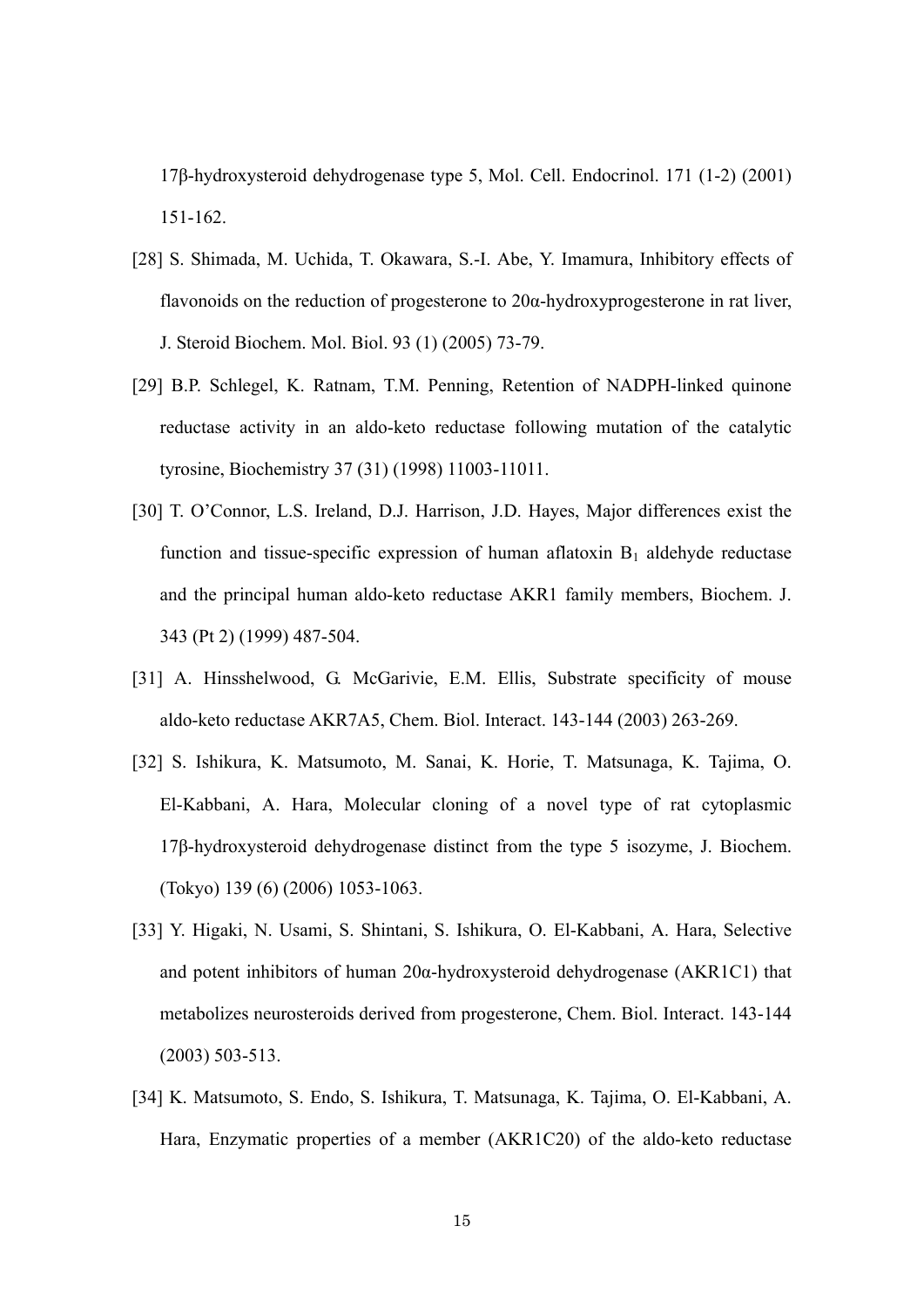17β-hydroxysteroid dehydrogenase type 5, Mol. Cell. Endocrinol. 171 (1-2) (2001) 151-162.

- [28] S. Shimada, M. Uchida, T. Okawara, S.-I. Abe, Y. Imamura, Inhibitory effects of flavonoids on the reduction of progesterone to  $20\alpha$ -hydroxyprogesterone in rat liver, J. Steroid Biochem. Mol. Biol. 93 (1) (2005) 73-79.
- [29] B.P. Schlegel, K. Ratnam, T.M. Penning, Retention of NADPH-linked quinone reductase activity in an aldo-keto reductase following mutation of the catalytic tyrosine, Biochemistry 37 (31) (1998) 11003-11011.
- [30] T. O'Connor, L.S. Ireland, D.J. Harrison, J.D. Hayes, Major differences exist the function and tissue-specific expression of human aflatoxin  $B_1$  aldehyde reductase and the principal human aldo-keto reductase AKR1 family members, Biochem. J. 343 (Pt 2) (1999) 487-504.
- [31] A. Hinsshelwood, G. McGarivie, E.M. Ellis, Substrate specificity of mouse aldo-keto reductase AKR7A5, Chem. Biol. Interact. 143-144 (2003) 263-269.
- [32] S. Ishikura, K. Matsumoto, M. Sanai, K. Horie, T. Matsunaga, K. Tajima, O. El-Kabbani, A. Hara, Molecular cloning of a novel type of rat cytoplasmic 17β-hydroxysteroid dehydrogenase distinct from the type 5 isozyme, J. Biochem. (Tokyo) 139 (6) (2006) 1053-1063.
- [33] Y. Higaki, N. Usami, S. Shintani, S. Ishikura, O. El-Kabbani, A. Hara, Selective and potent inhibitors of human 20α-hydroxysteroid dehydrogenase (AKR1C1) that metabolizes neurosteroids derived from progesterone, Chem. Biol. Interact. 143-144 (2003) 503-513.
- [34] K. Matsumoto, S. Endo, S. Ishikura, T. Matsunaga, K. Tajima, O. El-Kabbani, A. Hara, Enzymatic properties of a member (AKR1C20) of the aldo-keto reductase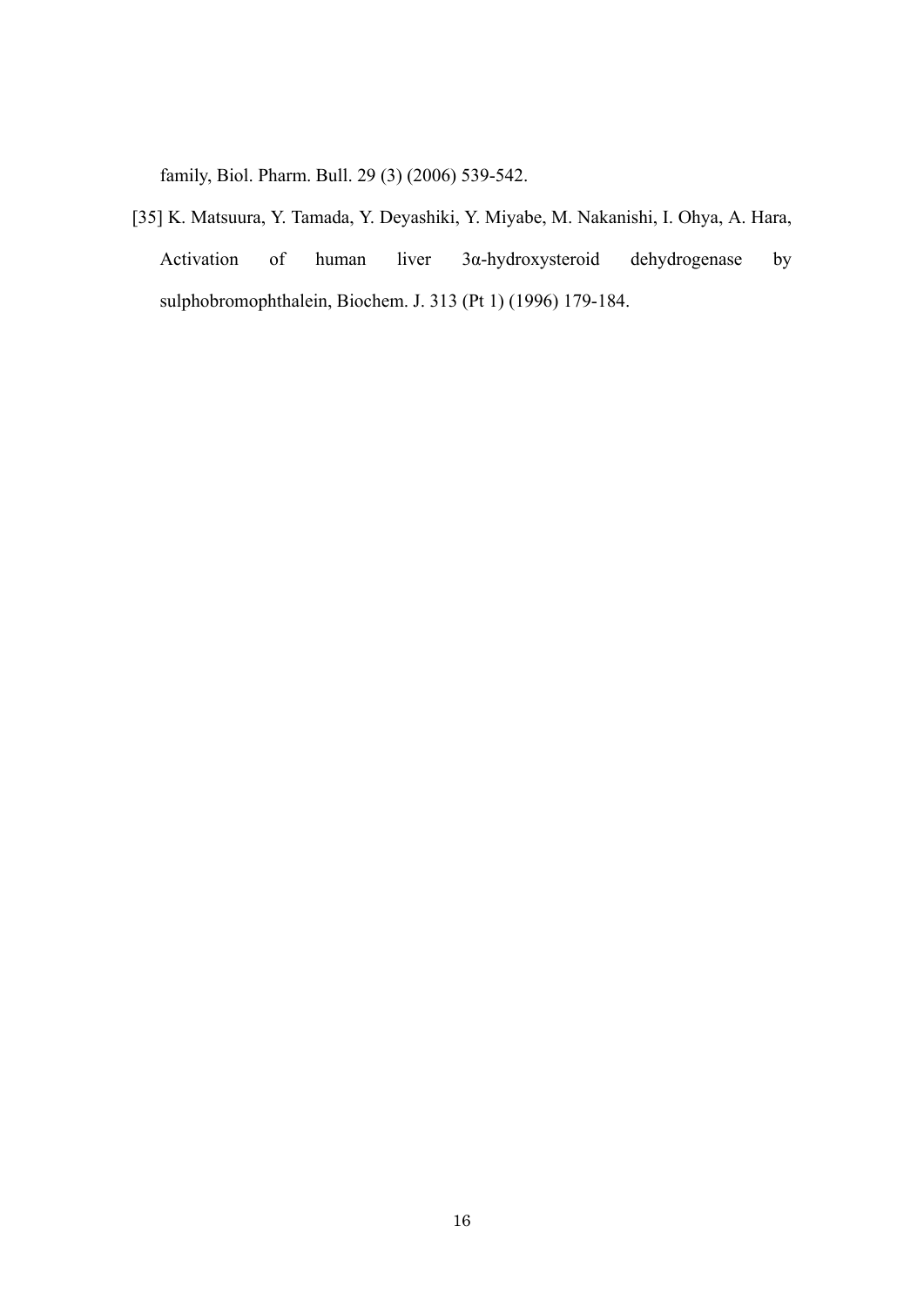family, Biol. Pharm. Bull. 29 (3) (2006) 539-542.

[35] K. Matsuura, Y. Tamada, Y. Deyashiki, Y. Miyabe, M. Nakanishi, I. Ohya, A. Hara, Activation of human liver 3α-hydroxysteroid dehydrogenase by sulphobromophthalein, Biochem. J. 313 (Pt 1) (1996) 179-184.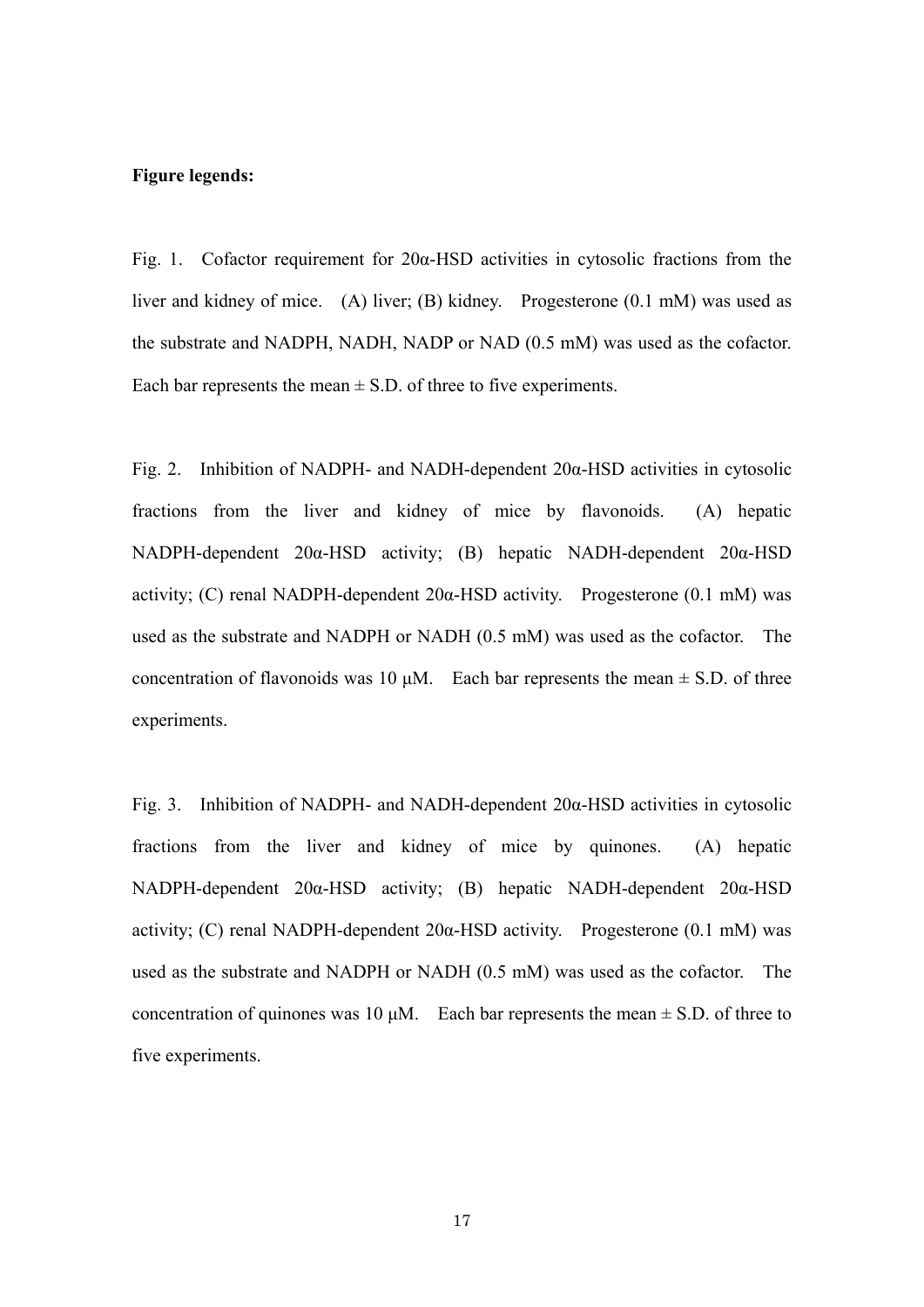## **Figure legends:**

Fig. 1. Cofactor requirement for  $20\alpha$ -HSD activities in cytosolic fractions from the liver and kidney of mice. (A) liver; (B) kidney. Progesterone (0.1 mM) was used as the substrate and NADPH, NADH, NADP or NAD (0.5 mM) was used as the cofactor. Each bar represents the mean  $\pm$  S.D. of three to five experiments.

Fig. 2. Inhibition of NADPH- and NADH-dependent 20α-HSD activities in cytosolic fractions from the liver and kidney of mice by flavonoids. (A) hepatic NADPH-dependent 20α-HSD activity; (B) hepatic NADH-dependent 20α-HSD activity; (C) renal NADPH-dependent  $20\alpha$ -HSD activity. Progesterone (0.1 mM) was used as the substrate and NADPH or NADH (0.5 mM) was used as the cofactor. The concentration of flavonoids was 10  $\mu$ M. Each bar represents the mean  $\pm$  S.D. of three experiments.

Fig. 3. Inhibition of NADPH- and NADH-dependent 20α-HSD activities in cytosolic fractions from the liver and kidney of mice by quinones. (A) hepatic NADPH-dependent 20α-HSD activity; (B) hepatic NADH-dependent 20α-HSD activity; (C) renal NADPH-dependent  $20\alpha$ -HSD activity. Progesterone (0.1 mM) was used as the substrate and NADPH or NADH (0.5 mM) was used as the cofactor. The concentration of quinones was 10  $\mu$ M. Each bar represents the mean  $\pm$  S.D. of three to five experiments.